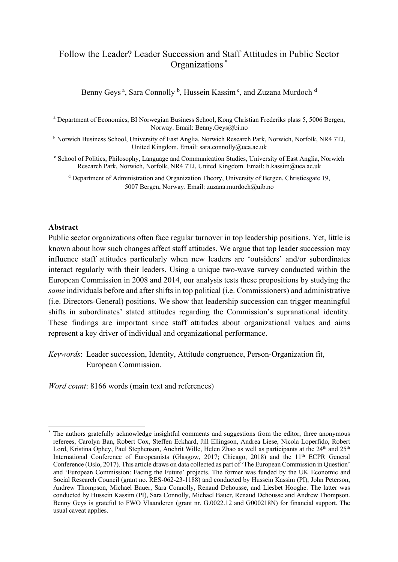# Follow the Leader? Leader Succession and Staff Attitudes in Public Sector Organizations \*

Benny Geys<sup>a</sup>, Sara Connolly<sup>b</sup>, Hussein Kassim<sup>c</sup>, and Zuzana Murdoch<sup>d</sup>

<sup>a</sup> Department of Economics, BI Norwegian Business School, Kong Christian Frederiks plass 5, 5006 Bergen, Norway. Email: Benny.Geys@bi.no

<sup>b</sup> Norwich Business School, University of East Anglia, Norwich Research Park, Norwich, Norfolk, NR4 7TJ, United Kingdom. Email: sara.connolly@uea.ac.uk

<sup>c</sup> School of Politics, Philosophy, Language and Communication Studies, University of East Anglia, Norwich Research Park, Norwich, Norfolk, NR4 7TJ, United Kingdom. Email: h.kassim@uea.ac.uk

<sup>d</sup> Department of Administration and Organization Theory, University of Bergen, Christiesgate 19, 5007 Bergen, Norway. Email: zuzana.murdoch@uib.no

#### **Abstract**

Public sector organizations often face regular turnover in top leadership positions. Yet, little is known about how such changes affect staff attitudes. We argue that top leader succession may influence staff attitudes particularly when new leaders are 'outsiders' and/or subordinates interact regularly with their leaders. Using a unique two-wave survey conducted within the European Commission in 2008 and 2014, our analysis tests these propositions by studying the *same* individuals before and after shifts in top political (i.e. Commissioners) and administrative (i.e. Directors-General) positions. We show that leadership succession can trigger meaningful shifts in subordinates' stated attitudes regarding the Commission's supranational identity. These findings are important since staff attitudes about organizational values and aims represent a key driver of individual and organizational performance.

*Keywords*: Leader succession, Identity, Attitude congruence, Person-Organization fit, European Commission.

*Word count*: 8166 words (main text and references)

The authors gratefully acknowledge insightful comments and suggestions from the editor, three anonymous referees, Carolyn Ban, Robert Cox, Steffen Eckhard, Jill Ellingson, Andrea Liese, Nicola Loperfido, Robert Lord, Kristina Ophey, Paul Stephenson, Anchrit Wille, Helen Zhao as well as participants at the 24<sup>th</sup> and 25<sup>th</sup> International Conference of Europeanists (Glasgow, 2017; Chicago, 2018) and the 11<sup>th</sup> ECPR General Conference (Oslo, 2017). This article draws on data collected as part of 'The European Commission in Question' and 'European Commission: Facing the Future' projects. The former was funded by the UK Economic and Social Research Council (grant no. RES-062-23-1188) and conducted by Hussein Kassim (PI), John Peterson, Andrew Thompson, Michael Bauer, Sara Connolly, Renaud Dehousse, and Liesbet Hooghe. The latter was conducted by Hussein Kassim (PI), Sara Connolly, Michael Bauer, Renaud Dehousse and Andrew Thompson. Benny Geys is grateful to FWO Vlaanderen (grant nr. G.0022.12 and G000218N) for financial support. The usual caveat applies.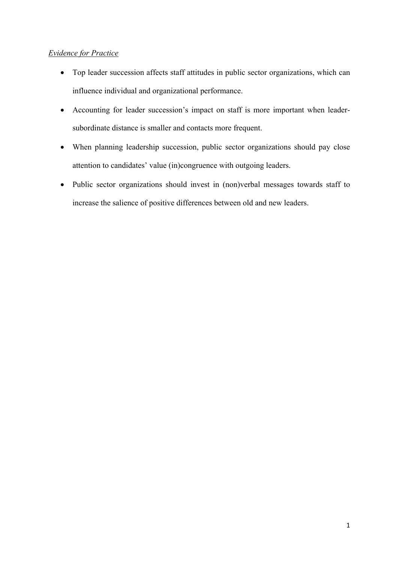# *Evidence for Practice*

- Top leader succession affects staff attitudes in public sector organizations, which can influence individual and organizational performance.
- Accounting for leader succession's impact on staff is more important when leadersubordinate distance is smaller and contacts more frequent.
- When planning leadership succession, public sector organizations should pay close attention to candidates' value (in)congruence with outgoing leaders.
- Public sector organizations should invest in (non)verbal messages towards staff to increase the salience of positive differences between old and new leaders.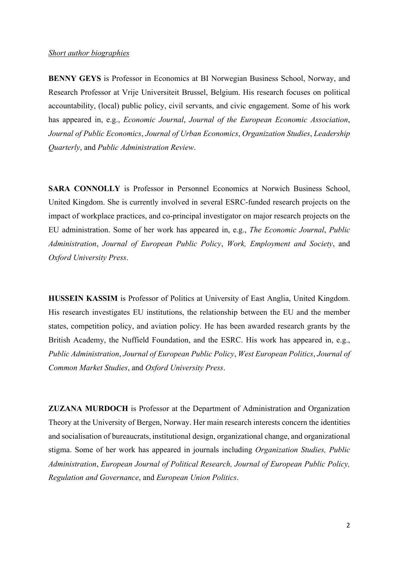#### *Short author biographies*

**BENNY GEYS** is Professor in Economics at BI Norwegian Business School, Norway, and Research Professor at Vrije Universiteit Brussel, Belgium. His research focuses on political accountability, (local) public policy, civil servants, and civic engagement. Some of his work has appeared in, e.g., *Economic Journal*, *Journal of the European Economic Association*, *Journal of Public Economics*, *Journal of Urban Economics*, *Organization Studies*, *Leadership Quarterly*, and *Public Administration Review*.

**SARA CONNOLLY** is Professor in Personnel Economics at Norwich Business School, United Kingdom. She is currently involved in several ESRC-funded research projects on the impact of workplace practices, and co-principal investigator on major research projects on the EU administration. Some of her work has appeared in, e.g., *The Economic Journal*, *Public Administration*, *Journal of European Public Policy*, *Work, Employment and Society*, and *Oxford University Press*.

**HUSSEIN KASSIM** is Professor of Politics at University of East Anglia, United Kingdom. His research investigates EU institutions, the relationship between the EU and the member states, competition policy, and aviation policy. He has been awarded research grants by the British Academy, the Nuffield Foundation, and the ESRC. His work has appeared in, e.g., *Public Administration*, *Journal of European Public Policy*, *West European Politics*, *Journal of Common Market Studies*, and *Oxford University Press*.

**ZUZANA MURDOCH** is Professor at the Department of Administration and Organization Theory at the University of Bergen, Norway. Her main research interests concern the identities and socialisation of bureaucrats, institutional design, organizational change, and organizational stigma. Some of her work has appeared in journals including *Organization Studies, Public Administration*, *European Journal of Political Research, Journal of European Public Policy, Regulation and Governance*, and *European Union Politics*.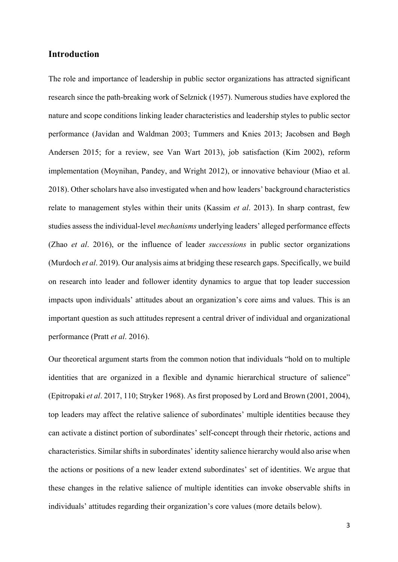## **Introduction**

The role and importance of leadership in public sector organizations has attracted significant research since the path-breaking work of Selznick (1957). Numerous studies have explored the nature and scope conditions linking leader characteristics and leadership styles to public sector performance (Javidan and Waldman 2003; Tummers and Knies 2013; Jacobsen and Bøgh Andersen 2015; for a review, see Van Wart 2013), job satisfaction (Kim 2002), reform implementation (Moynihan, Pandey, and Wright 2012), or innovative behaviour (Miao et al. 2018). Other scholars have also investigated when and how leaders' background characteristics relate to management styles within their units (Kassim *et al*. 2013). In sharp contrast, few studies assess the individual-level *mechanisms* underlying leaders' alleged performance effects (Zhao *et al*. 2016), or the influence of leader *successions* in public sector organizations (Murdoch *et al*. 2019). Our analysis aims at bridging these research gaps. Specifically, we build on research into leader and follower identity dynamics to argue that top leader succession impacts upon individuals' attitudes about an organization's core aims and values. This is an important question as such attitudes represent a central driver of individual and organizational performance (Pratt *et al*. 2016).

Our theoretical argument starts from the common notion that individuals "hold on to multiple identities that are organized in a flexible and dynamic hierarchical structure of salience" (Epitropaki *et al*. 2017, 110; Stryker 1968). As first proposed by Lord and Brown (2001, 2004), top leaders may affect the relative salience of subordinates' multiple identities because they can activate a distinct portion of subordinates' self-concept through their rhetoric, actions and characteristics. Similar shifts in subordinates' identity salience hierarchy would also arise when the actions or positions of a new leader extend subordinates' set of identities. We argue that these changes in the relative salience of multiple identities can invoke observable shifts in individuals' attitudes regarding their organization's core values (more details below).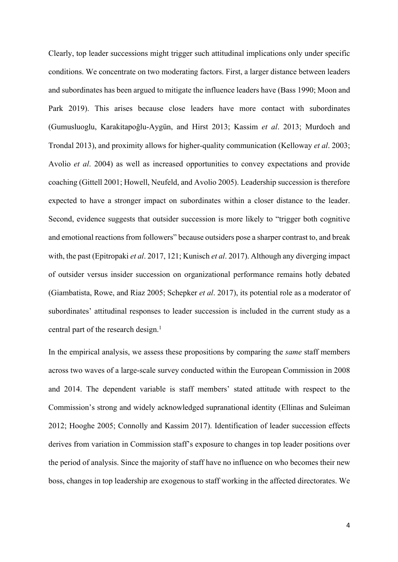Clearly, top leader successions might trigger such attitudinal implications only under specific conditions. We concentrate on two moderating factors. First, a larger distance between leaders and subordinates has been argued to mitigate the influence leaders have (Bass 1990; Moon and Park 2019). This arises because close leaders have more contact with subordinates (Gumusluoglu, Karakitapoğlu-Aygün, and Hirst 2013; Kassim *et al*. 2013; Murdoch and Trondal 2013), and proximity allows for higher-quality communication (Kelloway *et al*. 2003; Avolio *et al*. 2004) as well as increased opportunities to convey expectations and provide coaching (Gittell 2001; Howell, Neufeld, and Avolio 2005). Leadership succession is therefore expected to have a stronger impact on subordinates within a closer distance to the leader. Second, evidence suggests that outsider succession is more likely to "trigger both cognitive and emotional reactions from followers" because outsiders pose a sharper contrast to, and break with, the past (Epitropaki *et al*. 2017, 121; Kunisch *et al*. 2017). Although any diverging impact of outsider versus insider succession on organizational performance remains hotly debated (Giambatista, Rowe, and Riaz 2005; Schepker *et al*. 2017), its potential role as a moderator of subordinates' attitudinal responses to leader succession is included in the current study as a central part of the research design.<sup>1</sup>

In the empirical analysis, we assess these propositions by comparing the *same* staff members across two waves of a large-scale survey conducted within the European Commission in 2008 and 2014. The dependent variable is staff members' stated attitude with respect to the Commission's strong and widely acknowledged supranational identity (Ellinas and Suleiman 2012; Hooghe 2005; Connolly and Kassim 2017). Identification of leader succession effects derives from variation in Commission staff's exposure to changes in top leader positions over the period of analysis. Since the majority of staff have no influence on who becomes their new boss, changes in top leadership are exogenous to staff working in the affected directorates. We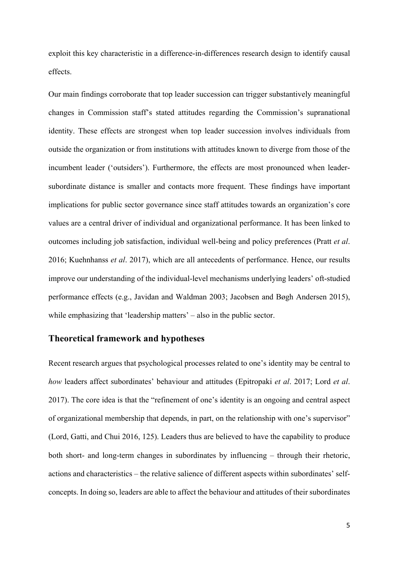exploit this key characteristic in a difference-in-differences research design to identify causal effects.

Our main findings corroborate that top leader succession can trigger substantively meaningful changes in Commission staff's stated attitudes regarding the Commission's supranational identity. These effects are strongest when top leader succession involves individuals from outside the organization or from institutions with attitudes known to diverge from those of the incumbent leader ('outsiders'). Furthermore, the effects are most pronounced when leadersubordinate distance is smaller and contacts more frequent. These findings have important implications for public sector governance since staff attitudes towards an organization's core values are a central driver of individual and organizational performance. It has been linked to outcomes including job satisfaction, individual well-being and policy preferences (Pratt *et al*. 2016; Kuehnhanss *et al*. 2017), which are all antecedents of performance. Hence, our results improve our understanding of the individual-level mechanisms underlying leaders' oft-studied performance effects (e.g., Javidan and Waldman 2003; Jacobsen and Bøgh Andersen 2015), while emphasizing that 'leadership matters' – also in the public sector.

#### **Theoretical framework and hypotheses**

Recent research argues that psychological processes related to one's identity may be central to *how* leaders affect subordinates' behaviour and attitudes (Epitropaki *et al*. 2017; Lord *et al*. 2017). The core idea is that the "refinement of one's identity is an ongoing and central aspect of organizational membership that depends, in part, on the relationship with one's supervisor" (Lord, Gatti, and Chui 2016, 125). Leaders thus are believed to have the capability to produce both short- and long-term changes in subordinates by influencing – through their rhetoric, actions and characteristics – the relative salience of different aspects within subordinates' selfconcepts. In doing so, leaders are able to affect the behaviour and attitudes of their subordinates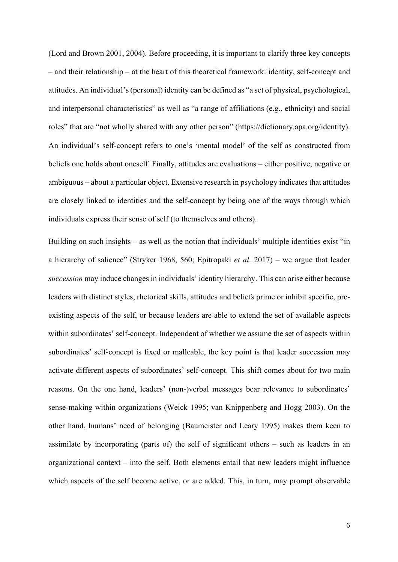(Lord and Brown 2001, 2004). Before proceeding, it is important to clarify three key concepts – and their relationship – at the heart of this theoretical framework: identity, self-concept and attitudes. An individual's (personal) identity can be defined as "a set of physical, psychological, and interpersonal characteristics" as well as "a range of affiliations (e.g., ethnicity) and social roles" that are "not wholly shared with any other person" (https://dictionary.apa.org/identity). An individual's self-concept refers to one's 'mental model' of the self as constructed from beliefs one holds about oneself. Finally, attitudes are evaluations – either positive, negative or ambiguous – about a particular object. Extensive research in psychology indicates that attitudes are closely linked to identities and the self-concept by being one of the ways through which individuals express their sense of self (to themselves and others).

Building on such insights – as well as the notion that individuals' multiple identities exist "in a hierarchy of salience" (Stryker 1968, 560; Epitropaki *et al*. 2017) – we argue that leader *succession* may induce changes in individuals' identity hierarchy. This can arise either because leaders with distinct styles, rhetorical skills, attitudes and beliefs prime or inhibit specific, preexisting aspects of the self, or because leaders are able to extend the set of available aspects within subordinates' self-concept. Independent of whether we assume the set of aspects within subordinates' self-concept is fixed or malleable, the key point is that leader succession may activate different aspects of subordinates' self-concept. This shift comes about for two main reasons. On the one hand, leaders' (non-)verbal messages bear relevance to subordinates' sense-making within organizations (Weick 1995; van Knippenberg and Hogg 2003). On the other hand, humans' need of belonging (Baumeister and Leary 1995) makes them keen to assimilate by incorporating (parts of) the self of significant others – such as leaders in an organizational context – into the self. Both elements entail that new leaders might influence which aspects of the self become active, or are added. This, in turn, may prompt observable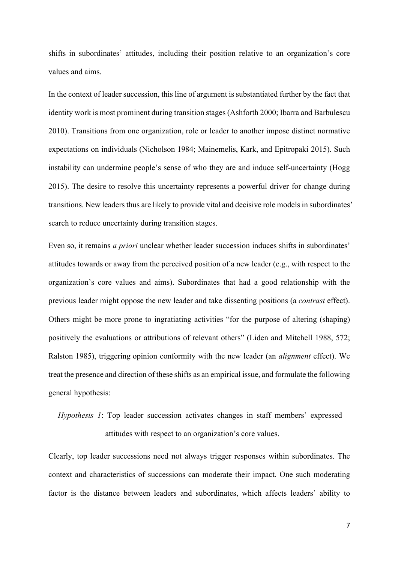shifts in subordinates' attitudes, including their position relative to an organization's core values and aims.

In the context of leader succession, this line of argument is substantiated further by the fact that identity work is most prominent during transition stages (Ashforth 2000; Ibarra and Barbulescu 2010). Transitions from one organization, role or leader to another impose distinct normative expectations on individuals (Nicholson 1984; Mainemelis, Kark, and Epitropaki 2015). Such instability can undermine people's sense of who they are and induce self-uncertainty (Hogg 2015). The desire to resolve this uncertainty represents a powerful driver for change during transitions. New leaders thus are likely to provide vital and decisive role models in subordinates' search to reduce uncertainty during transition stages.

Even so, it remains *a priori* unclear whether leader succession induces shifts in subordinates' attitudes towards or away from the perceived position of a new leader (e.g., with respect to the organization's core values and aims). Subordinates that had a good relationship with the previous leader might oppose the new leader and take dissenting positions (a *contrast* effect). Others might be more prone to ingratiating activities "for the purpose of altering (shaping) positively the evaluations or attributions of relevant others" (Liden and Mitchell 1988, 572; Ralston 1985), triggering opinion conformity with the new leader (an *alignment* effect). We treat the presence and direction of these shifts as an empirical issue, and formulate the following general hypothesis:

# *Hypothesis 1*: Top leader succession activates changes in staff members' expressed attitudes with respect to an organization's core values.

Clearly, top leader successions need not always trigger responses within subordinates. The context and characteristics of successions can moderate their impact. One such moderating factor is the distance between leaders and subordinates, which affects leaders' ability to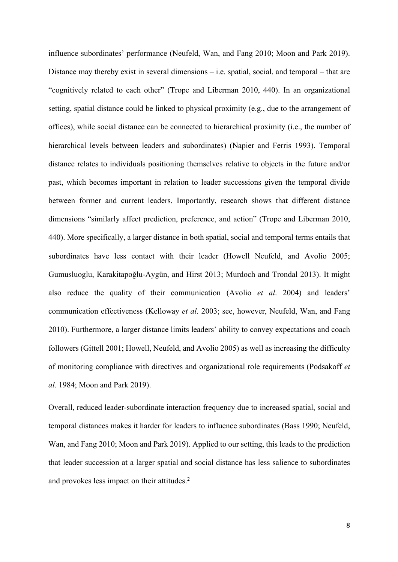influence subordinates' performance (Neufeld, Wan, and Fang 2010; Moon and Park 2019). Distance may thereby exist in several dimensions – i.e. spatial, social, and temporal – that are "cognitively related to each other" (Trope and Liberman 2010, 440). In an organizational setting, spatial distance could be linked to physical proximity (e.g., due to the arrangement of offices), while social distance can be connected to hierarchical proximity (i.e., the number of hierarchical levels between leaders and subordinates) (Napier and Ferris 1993). Temporal distance relates to individuals positioning themselves relative to objects in the future and/or past, which becomes important in relation to leader successions given the temporal divide between former and current leaders. Importantly, research shows that different distance dimensions "similarly affect prediction, preference, and action" (Trope and Liberman 2010, 440). More specifically, a larger distance in both spatial, social and temporal terms entails that subordinates have less contact with their leader (Howell Neufeld, and Avolio 2005; Gumusluoglu, Karakitapoğlu-Aygün, and Hirst 2013; Murdoch and Trondal 2013). It might also reduce the quality of their communication (Avolio *et al*. 2004) and leaders' communication effectiveness (Kelloway *et al*. 2003; see, however, Neufeld, Wan, and Fang 2010). Furthermore, a larger distance limits leaders' ability to convey expectations and coach followers (Gittell 2001; Howell, Neufeld, and Avolio 2005) as well as increasing the difficulty of monitoring compliance with directives and organizational role requirements (Podsakoff *et al*. 1984; Moon and Park 2019).

Overall, reduced leader-subordinate interaction frequency due to increased spatial, social and temporal distances makes it harder for leaders to influence subordinates (Bass 1990; Neufeld, Wan, and Fang 2010; Moon and Park 2019). Applied to our setting, this leads to the prediction that leader succession at a larger spatial and social distance has less salience to subordinates and provokes less impact on their attitudes. 2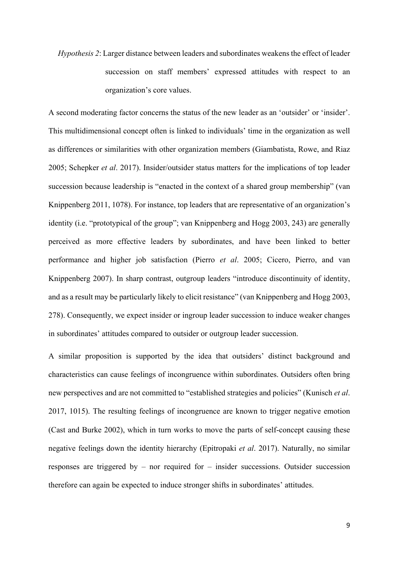*Hypothesis 2*: Larger distance between leaders and subordinates weakens the effect of leader succession on staff members' expressed attitudes with respect to an organization's core values.

A second moderating factor concerns the status of the new leader as an 'outsider' or 'insider'. This multidimensional concept often is linked to individuals' time in the organization as well as differences or similarities with other organization members (Giambatista, Rowe, and Riaz 2005; Schepker *et al*. 2017). Insider/outsider status matters for the implications of top leader succession because leadership is "enacted in the context of a shared group membership" (van Knippenberg 2011, 1078). For instance, top leaders that are representative of an organization's identity (i.e. "prototypical of the group"; van Knippenberg and Hogg 2003, 243) are generally perceived as more effective leaders by subordinates, and have been linked to better performance and higher job satisfaction (Pierro *et al*. 2005; Cicero, Pierro, and van Knippenberg 2007). In sharp contrast, outgroup leaders "introduce discontinuity of identity, and as a result may be particularly likely to elicit resistance" (van Knippenberg and Hogg 2003, 278). Consequently, we expect insider or ingroup leader succession to induce weaker changes in subordinates' attitudes compared to outsider or outgroup leader succession.

A similar proposition is supported by the idea that outsiders' distinct background and characteristics can cause feelings of incongruence within subordinates. Outsiders often bring new perspectives and are not committed to "established strategies and policies" (Kunisch *et al*. 2017, 1015). The resulting feelings of incongruence are known to trigger negative emotion (Cast and Burke 2002), which in turn works to move the parts of self-concept causing these negative feelings down the identity hierarchy (Epitropaki *et al*. 2017). Naturally, no similar responses are triggered by – nor required for – insider successions. Outsider succession therefore can again be expected to induce stronger shifts in subordinates' attitudes.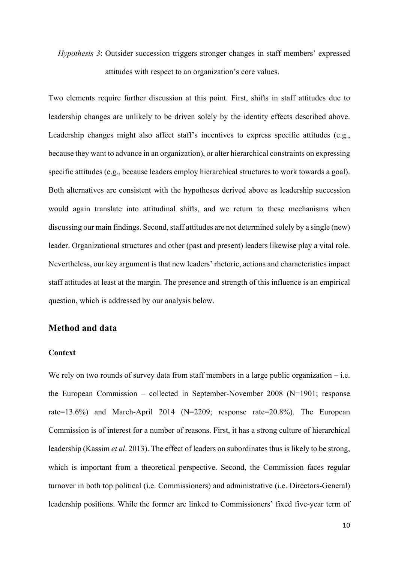# *Hypothesis 3*: Outsider succession triggers stronger changes in staff members' expressed attitudes with respect to an organization's core values.

Two elements require further discussion at this point. First, shifts in staff attitudes due to leadership changes are unlikely to be driven solely by the identity effects described above. Leadership changes might also affect staff's incentives to express specific attitudes (e.g., because they want to advance in an organization), or alter hierarchical constraints on expressing specific attitudes (e.g., because leaders employ hierarchical structures to work towards a goal). Both alternatives are consistent with the hypotheses derived above as leadership succession would again translate into attitudinal shifts, and we return to these mechanisms when discussing our main findings. Second, staff attitudes are not determined solely by a single (new) leader. Organizational structures and other (past and present) leaders likewise play a vital role. Nevertheless, our key argument is that new leaders' rhetoric, actions and characteristics impact staff attitudes at least at the margin. The presence and strength of this influence is an empirical question, which is addressed by our analysis below.

# **Method and data**

#### **Context**

We rely on two rounds of survey data from staff members in a large public organization – i.e. the European Commission – collected in September-November 2008 (N=1901; response rate=13.6%) and March-April 2014 (N=2209; response rate=20.8%). The European Commission is of interest for a number of reasons. First, it has a strong culture of hierarchical leadership (Kassim *et al*. 2013). The effect of leaders on subordinates thus is likely to be strong, which is important from a theoretical perspective. Second, the Commission faces regular turnover in both top political (i.e. Commissioners) and administrative (i.e. Directors-General) leadership positions. While the former are linked to Commissioners' fixed five-year term of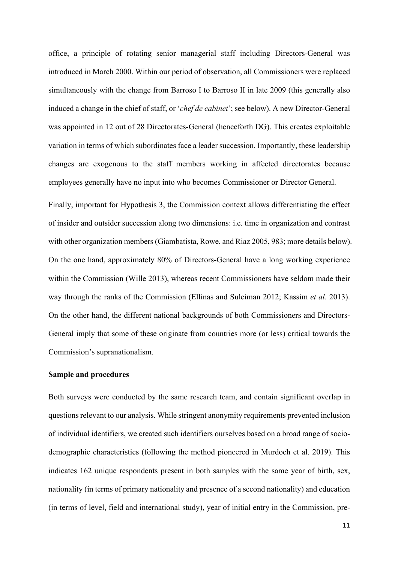office, a principle of rotating senior managerial staff including Directors-General was introduced in March 2000. Within our period of observation, all Commissioners were replaced simultaneously with the change from Barroso I to Barroso II in late 2009 (this generally also induced a change in the chief of staff, or '*chef de cabinet*'; see below). A new Director-General was appointed in 12 out of 28 Directorates-General (henceforth DG). This creates exploitable variation in terms of which subordinates face a leader succession. Importantly, these leadership changes are exogenous to the staff members working in affected directorates because employees generally have no input into who becomes Commissioner or Director General.

Finally, important for Hypothesis 3, the Commission context allows differentiating the effect of insider and outsider succession along two dimensions: i.e. time in organization and contrast with other organization members (Giambatista, Rowe, and Riaz 2005, 983; more details below). On the one hand, approximately 80% of Directors-General have a long working experience within the Commission (Wille 2013), whereas recent Commissioners have seldom made their way through the ranks of the Commission (Ellinas and Suleiman 2012; Kassim *et al*. 2013). On the other hand, the different national backgrounds of both Commissioners and Directors-General imply that some of these originate from countries more (or less) critical towards the Commission's supranationalism.

#### **Sample and procedures**

Both surveys were conducted by the same research team, and contain significant overlap in questions relevant to our analysis. While stringent anonymity requirements prevented inclusion of individual identifiers, we created such identifiers ourselves based on a broad range of sociodemographic characteristics (following the method pioneered in Murdoch et al. 2019). This indicates 162 unique respondents present in both samples with the same year of birth, sex, nationality (in terms of primary nationality and presence of a second nationality) and education (in terms of level, field and international study), year of initial entry in the Commission, pre-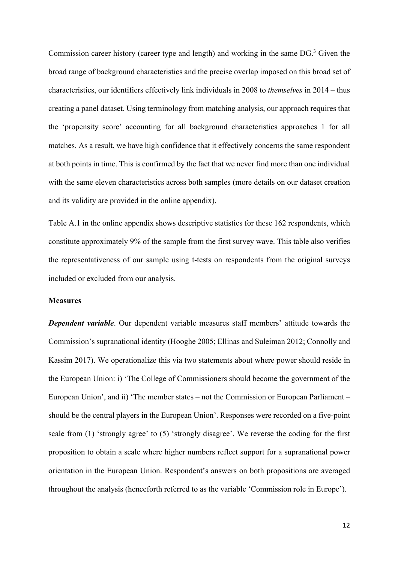Commission career history (career type and length) and working in the same DG. <sup>3</sup> Given the broad range of background characteristics and the precise overlap imposed on this broad set of characteristics, our identifiers effectively link individuals in 2008 to *themselves* in 2014 – thus creating a panel dataset. Using terminology from matching analysis, our approach requires that the 'propensity score' accounting for all background characteristics approaches 1 for all matches. As a result, we have high confidence that it effectively concerns the same respondent at both points in time. This is confirmed by the fact that we never find more than one individual with the same eleven characteristics across both samples (more details on our dataset creation and its validity are provided in the online appendix).

Table A.1 in the online appendix shows descriptive statistics for these 162 respondents, which constitute approximately 9% of the sample from the first survey wave. This table also verifies the representativeness of our sample using t-tests on respondents from the original surveys included or excluded from our analysis.

#### **Measures**

*Dependent variable*. Our dependent variable measures staff members' attitude towards the Commission's supranational identity (Hooghe 2005; Ellinas and Suleiman 2012; Connolly and Kassim 2017). We operationalize this via two statements about where power should reside in the European Union: i) 'The College of Commissioners should become the government of the European Union', and ii) 'The member states – not the Commission or European Parliament – should be the central players in the European Union'. Responses were recorded on a five-point scale from (1) 'strongly agree' to (5) 'strongly disagree'. We reverse the coding for the first proposition to obtain a scale where higher numbers reflect support for a supranational power orientation in the European Union. Respondent's answers on both propositions are averaged throughout the analysis (henceforth referred to as the variable 'Commission role in Europe').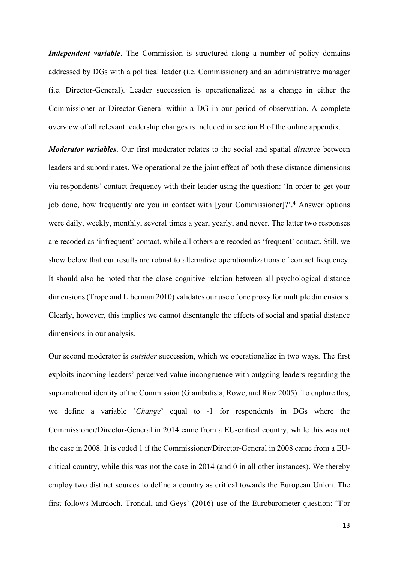*Independent variable*. The Commission is structured along a number of policy domains addressed by DGs with a political leader (i.e. Commissioner) and an administrative manager (i.e. Director-General). Leader succession is operationalized as a change in either the Commissioner or Director-General within a DG in our period of observation. A complete overview of all relevant leadership changes is included in section B of the online appendix.

*Moderator variables*. Our first moderator relates to the social and spatial *distance* between leaders and subordinates. We operationalize the joint effect of both these distance dimensions via respondents' contact frequency with their leader using the question: 'In order to get your job done, how frequently are you in contact with [your Commissioner]?'.4 Answer options were daily, weekly, monthly, several times a year, yearly, and never. The latter two responses are recoded as 'infrequent' contact, while all others are recoded as 'frequent' contact. Still, we show below that our results are robust to alternative operationalizations of contact frequency. It should also be noted that the close cognitive relation between all psychological distance dimensions (Trope and Liberman 2010) validates our use of one proxy for multiple dimensions. Clearly, however, this implies we cannot disentangle the effects of social and spatial distance dimensions in our analysis.

Our second moderator is *outsider* succession, which we operationalize in two ways. The first exploits incoming leaders' perceived value incongruence with outgoing leaders regarding the supranational identity of the Commission (Giambatista, Rowe, and Riaz 2005). To capture this, we define a variable '*Change*' equal to -1 for respondents in DGs where the Commissioner/Director-General in 2014 came from a EU-critical country, while this was not the case in 2008. It is coded 1 if the Commissioner/Director-General in 2008 came from a EUcritical country, while this was not the case in 2014 (and 0 in all other instances). We thereby employ two distinct sources to define a country as critical towards the European Union. The first follows Murdoch, Trondal, and Geys' (2016) use of the Eurobarometer question: "For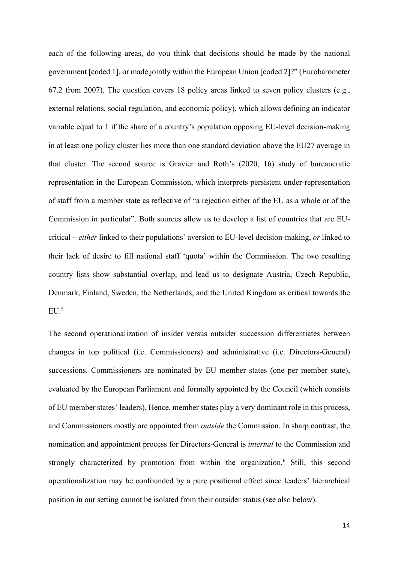each of the following areas, do you think that decisions should be made by the national government [coded 1], or made jointly within the European Union [coded 2]?" (Eurobarometer 67.2 from 2007). The question covers 18 policy areas linked to seven policy clusters (e.g., external relations, social regulation, and economic policy), which allows defining an indicator variable equal to 1 if the share of a country's population opposing EU-level decision-making in at least one policy cluster lies more than one standard deviation above the EU27 average in that cluster. The second source is Gravier and Roth's (2020, 16) study of bureaucratic representation in the European Commission, which interprets persistent under-representation of staff from a member state as reflective of "a rejection either of the EU as a whole or of the Commission in particular". Both sources allow us to develop a list of countries that are EUcritical – *either* linked to their populations' aversion to EU-level decision-making, *or* linked to their lack of desire to fill national staff 'quota' within the Commission. The two resulting country lists show substantial overlap, and lead us to designate Austria, Czech Republic, Denmark, Finland, Sweden, the Netherlands, and the United Kingdom as critical towards the  $EU.5$ 

The second operationalization of insider versus outsider succession differentiates between changes in top political (i.e. Commissioners) and administrative (i.e. Directors-General) successions. Commissioners are nominated by EU member states (one per member state), evaluated by the European Parliament and formally appointed by the Council (which consists of EU member states' leaders). Hence, member states play a very dominant role in this process, and Commissioners mostly are appointed from *outside* the Commission. In sharp contrast, the nomination and appointment process for Directors-General is *internal* to the Commission and strongly characterized by promotion from within the organization. <sup>6</sup> Still, this second operationalization may be confounded by a pure positional effect since leaders' hierarchical position in our setting cannot be isolated from their outsider status (see also below).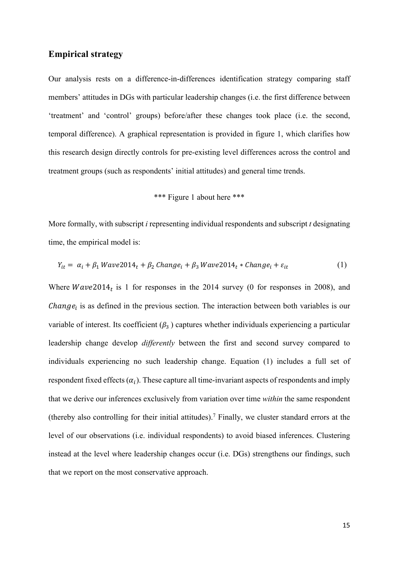### **Empirical strategy**

Our analysis rests on a difference-in-differences identification strategy comparing staff members' attitudes in DGs with particular leadership changes (i.e. the first difference between 'treatment' and 'control' groups) before/after these changes took place (i.e. the second, temporal difference). A graphical representation is provided in figure 1, which clarifies how this research design directly controls for pre-existing level differences across the control and treatment groups (such as respondents' initial attitudes) and general time trends.

# \*\*\* Figure 1 about here \*\*\*

More formally, with subscript *i* representing individual respondents and subscript *t* designating time, the empirical model is:

$$
Y_{it} = \alpha_i + \beta_1 Wave2014_t + \beta_2 Change_i + \beta_3 Wave2014_t * Change_i + \varepsilon_{it}
$$
 (1)

Where  $Wave2014<sub>t</sub>$  is 1 for responses in the 2014 survey (0 for responses in 2008), and *Change<sub>i</sub>* is as defined in the previous section. The interaction between both variables is our variable of interest. Its coefficient  $(\beta_3)$  captures whether individuals experiencing a particular leadership change develop *differently* between the first and second survey compared to individuals experiencing no such leadership change. Equation (1) includes a full set of respondent fixed effects  $(\alpha_i)$ . These capture all time-invariant aspects of respondents and imply that we derive our inferences exclusively from variation over time *within* the same respondent (thereby also controlling for their initial attitudes). <sup>7</sup> Finally, we cluster standard errors at the level of our observations (i.e. individual respondents) to avoid biased inferences. Clustering instead at the level where leadership changes occur (i.e. DGs) strengthens our findings, such that we report on the most conservative approach.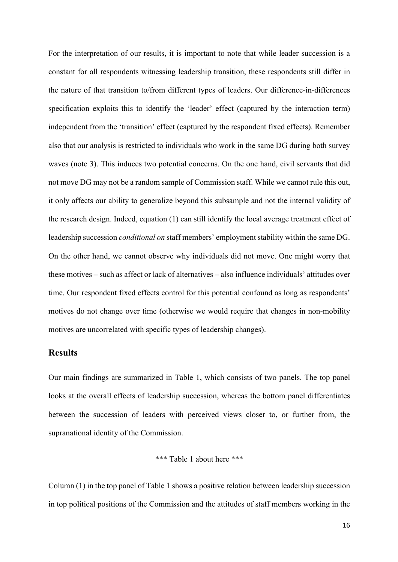For the interpretation of our results, it is important to note that while leader succession is a constant for all respondents witnessing leadership transition, these respondents still differ in the nature of that transition to/from different types of leaders. Our difference-in-differences specification exploits this to identify the 'leader' effect (captured by the interaction term) independent from the 'transition' effect (captured by the respondent fixed effects). Remember also that our analysis is restricted to individuals who work in the same DG during both survey waves (note 3). This induces two potential concerns. On the one hand, civil servants that did not move DG may not be a random sample of Commission staff. While we cannot rule this out, it only affects our ability to generalize beyond this subsample and not the internal validity of the research design. Indeed, equation (1) can still identify the local average treatment effect of leadership succession *conditional on* staff members' employment stability within the same DG. On the other hand, we cannot observe why individuals did not move. One might worry that these motives – such as affect or lack of alternatives – also influence individuals' attitudes over time. Our respondent fixed effects control for this potential confound as long as respondents' motives do not change over time (otherwise we would require that changes in non-mobility motives are uncorrelated with specific types of leadership changes).

## **Results**

Our main findings are summarized in Table 1, which consists of two panels. The top panel looks at the overall effects of leadership succession, whereas the bottom panel differentiates between the succession of leaders with perceived views closer to, or further from, the supranational identity of the Commission.

## \*\*\* Table 1 about here \*\*\*

Column (1) in the top panel of Table 1 shows a positive relation between leadership succession in top political positions of the Commission and the attitudes of staff members working in the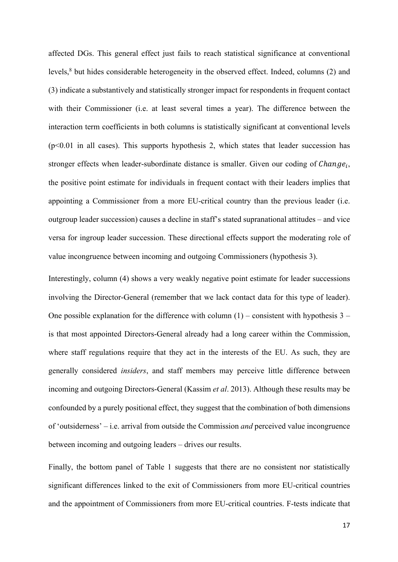affected DGs. This general effect just fails to reach statistical significance at conventional levels,<sup>8</sup> but hides considerable heterogeneity in the observed effect. Indeed, columns (2) and (3) indicate a substantively and statistically stronger impact for respondents in frequent contact with their Commissioner (i.e. at least several times a year). The difference between the interaction term coefficients in both columns is statistically significant at conventional levels  $(p<0.01$  in all cases). This supports hypothesis 2, which states that leader succession has stronger effects when leader-subordinate distance is smaller. Given our coding of  $Change_i$ , the positive point estimate for individuals in frequent contact with their leaders implies that appointing a Commissioner from a more EU-critical country than the previous leader (i.e. outgroup leader succession) causes a decline in staff's stated supranational attitudes – and vice versa for ingroup leader succession. These directional effects support the moderating role of value incongruence between incoming and outgoing Commissioners (hypothesis 3).

Interestingly, column (4) shows a very weakly negative point estimate for leader successions involving the Director-General (remember that we lack contact data for this type of leader). One possible explanation for the difference with column  $(1)$  – consistent with hypothesis 3 – is that most appointed Directors-General already had a long career within the Commission, where staff regulations require that they act in the interests of the EU. As such, they are generally considered *insiders*, and staff members may perceive little difference between incoming and outgoing Directors-General (Kassim *et al*. 2013). Although these results may be confounded by a purely positional effect, they suggest that the combination of both dimensions of 'outsiderness' – i.e. arrival from outside the Commission *and* perceived value incongruence between incoming and outgoing leaders – drives our results.

Finally, the bottom panel of Table 1 suggests that there are no consistent nor statistically significant differences linked to the exit of Commissioners from more EU-critical countries and the appointment of Commissioners from more EU-critical countries. F-tests indicate that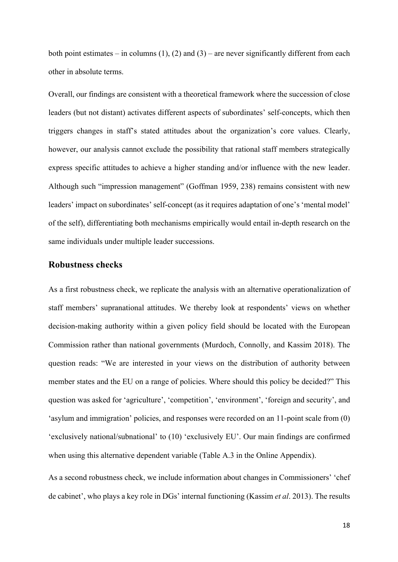both point estimates – in columns  $(1)$ ,  $(2)$  and  $(3)$  – are never significantly different from each other in absolute terms.

Overall, our findings are consistent with a theoretical framework where the succession of close leaders (but not distant) activates different aspects of subordinates' self-concepts, which then triggers changes in staff's stated attitudes about the organization's core values. Clearly, however, our analysis cannot exclude the possibility that rational staff members strategically express specific attitudes to achieve a higher standing and/or influence with the new leader. Although such "impression management" (Goffman 1959, 238) remains consistent with new leaders' impact on subordinates' self-concept (as it requires adaptation of one's 'mental model' of the self), differentiating both mechanisms empirically would entail in-depth research on the same individuals under multiple leader successions.

#### **Robustness checks**

As a first robustness check, we replicate the analysis with an alternative operationalization of staff members' supranational attitudes. We thereby look at respondents' views on whether decision-making authority within a given policy field should be located with the European Commission rather than national governments (Murdoch, Connolly, and Kassim 2018). The question reads: "We are interested in your views on the distribution of authority between member states and the EU on a range of policies. Where should this policy be decided?" This question was asked for 'agriculture', 'competition', 'environment', 'foreign and security', and 'asylum and immigration' policies, and responses were recorded on an 11-point scale from (0) 'exclusively national/subnational' to (10) 'exclusively EU'. Our main findings are confirmed when using this alternative dependent variable (Table A.3 in the Online Appendix).

As a second robustness check, we include information about changes in Commissioners' 'chef de cabinet', who plays a key role in DGs' internal functioning (Kassim *et al*. 2013). The results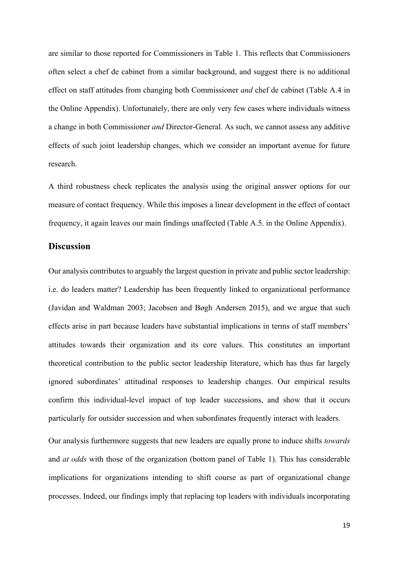are similar to those reported for Commissioners in Table 1. This reflects that Commissioners often select a chef de cabinet from a similar background, and suggest there is no additional effect on staff attitudes from changing both Commissioner *and* chef de cabinet (Table A.4 in the Online Appendix). Unfortunately, there are only very few cases where individuals witness a change in both Commissioner *and* Director-General. As such, we cannot assess any additive effects of such joint leadership changes, which we consider an important avenue for future research.

A third robustness check replicates the analysis using the original answer options for our measure of contact frequency. While this imposes a linear development in the effect of contact frequency, it again leaves our main findings unaffected (Table A.5. in the Online Appendix).

# **Discussion**

Our analysis contributes to arguably the largest question in private and public sector leadership: i.e. do leaders matter? Leadership has been frequently linked to organizational performance (Javidan and Waldman 2003; Jacobsen and Bøgh Andersen 2015), and we argue that such effects arise in part because leaders have substantial implications in terms of staff members' attitudes towards their organization and its core values. This constitutes an important theoretical contribution to the public sector leadership literature, which has thus far largely ignored subordinates' attitudinal responses to leadership changes. Our empirical results confirm this individual-level impact of top leader successions, and show that it occurs particularly for outsider succession and when subordinates frequently interact with leaders.

Our analysis furthermore suggests that new leaders are equally prone to induce shifts *towards* and *at odds* with those of the organization (bottom panel of Table 1). This has considerable implications for organizations intending to shift course as part of organizational change processes. Indeed, our findings imply that replacing top leaders with individuals incorporating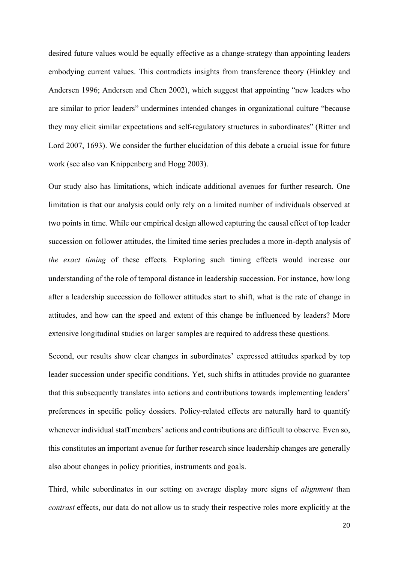desired future values would be equally effective as a change-strategy than appointing leaders embodying current values. This contradicts insights from transference theory (Hinkley and Andersen 1996; Andersen and Chen 2002), which suggest that appointing "new leaders who are similar to prior leaders" undermines intended changes in organizational culture "because they may elicit similar expectations and self-regulatory structures in subordinates" (Ritter and Lord 2007, 1693). We consider the further elucidation of this debate a crucial issue for future work (see also van Knippenberg and Hogg 2003).

Our study also has limitations, which indicate additional avenues for further research. One limitation is that our analysis could only rely on a limited number of individuals observed at two points in time. While our empirical design allowed capturing the causal effect of top leader succession on follower attitudes, the limited time series precludes a more in-depth analysis of *the exact timing* of these effects. Exploring such timing effects would increase our understanding of the role of temporal distance in leadership succession. For instance, how long after a leadership succession do follower attitudes start to shift, what is the rate of change in attitudes, and how can the speed and extent of this change be influenced by leaders? More extensive longitudinal studies on larger samples are required to address these questions.

Second, our results show clear changes in subordinates' expressed attitudes sparked by top leader succession under specific conditions. Yet, such shifts in attitudes provide no guarantee that this subsequently translates into actions and contributions towards implementing leaders' preferences in specific policy dossiers. Policy-related effects are naturally hard to quantify whenever individual staff members' actions and contributions are difficult to observe. Even so, this constitutes an important avenue for further research since leadership changes are generally also about changes in policy priorities, instruments and goals.

Third, while subordinates in our setting on average display more signs of *alignment* than *contrast* effects, our data do not allow us to study their respective roles more explicitly at the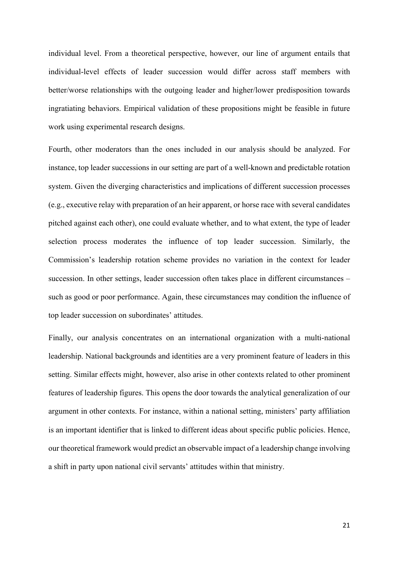individual level. From a theoretical perspective, however, our line of argument entails that individual-level effects of leader succession would differ across staff members with better/worse relationships with the outgoing leader and higher/lower predisposition towards ingratiating behaviors. Empirical validation of these propositions might be feasible in future work using experimental research designs.

Fourth, other moderators than the ones included in our analysis should be analyzed. For instance, top leader successions in our setting are part of a well-known and predictable rotation system. Given the diverging characteristics and implications of different succession processes (e.g., executive relay with preparation of an heir apparent, or horse race with several candidates pitched against each other), one could evaluate whether, and to what extent, the type of leader selection process moderates the influence of top leader succession. Similarly, the Commission's leadership rotation scheme provides no variation in the context for leader succession. In other settings, leader succession often takes place in different circumstances – such as good or poor performance. Again, these circumstances may condition the influence of top leader succession on subordinates' attitudes.

Finally, our analysis concentrates on an international organization with a multi-national leadership. National backgrounds and identities are a very prominent feature of leaders in this setting. Similar effects might, however, also arise in other contexts related to other prominent features of leadership figures. This opens the door towards the analytical generalization of our argument in other contexts. For instance, within a national setting, ministers' party affiliation is an important identifier that is linked to different ideas about specific public policies. Hence, our theoretical framework would predict an observable impact of a leadership change involving a shift in party upon national civil servants' attitudes within that ministry.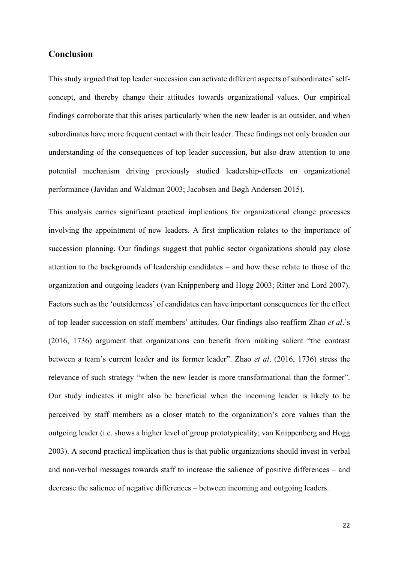# **Conclusion**

This study argued that top leader succession can activate different aspects of subordinates' selfconcept, and thereby change their attitudes towards organizational values. Our empirical findings corroborate that this arises particularly when the new leader is an outsider, and when subordinates have more frequent contact with their leader. These findings not only broaden our understanding of the consequences of top leader succession, but also draw attention to one potential mechanism driving previously studied leadership-effects on organizational performance (Javidan and Waldman 2003; Jacobsen and Bøgh Andersen 2015).

This analysis carries significant practical implications for organizational change processes involving the appointment of new leaders. A first implication relates to the importance of succession planning. Our findings suggest that public sector organizations should pay close attention to the backgrounds of leadership candidates – and how these relate to those of the organization and outgoing leaders (van Knippenberg and Hogg 2003; Ritter and Lord 2007). Factors such as the 'outsiderness' of candidates can have important consequences for the effect of top leader succession on staff members' attitudes. Our findings also reaffirm Zhao *et al*.'s (2016, 1736) argument that organizations can benefit from making salient "the contrast between a team's current leader and its former leader". Zhao *et al*. (2016, 1736) stress the relevance of such strategy "when the new leader is more transformational than the former". Our study indicates it might also be beneficial when the incoming leader is likely to be perceived by staff members as a closer match to the organization's core values than the outgoing leader (i.e. shows a higher level of group prototypicality; van Knippenberg and Hogg 2003). A second practical implication thus is that public organizations should invest in verbal and non-verbal messages towards staff to increase the salience of positive differences – and decrease the salience of negative differences – between incoming and outgoing leaders.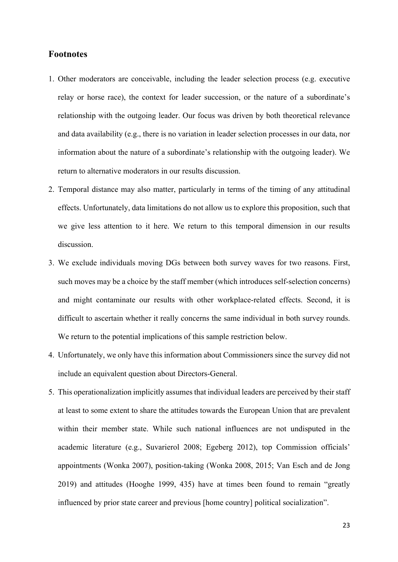#### **Footnotes**

- 1. Other moderators are conceivable, including the leader selection process (e.g. executive relay or horse race), the context for leader succession, or the nature of a subordinate's relationship with the outgoing leader. Our focus was driven by both theoretical relevance and data availability (e.g., there is no variation in leader selection processes in our data, nor information about the nature of a subordinate's relationship with the outgoing leader). We return to alternative moderators in our results discussion.
- 2. Temporal distance may also matter, particularly in terms of the timing of any attitudinal effects. Unfortunately, data limitations do not allow us to explore this proposition, such that we give less attention to it here. We return to this temporal dimension in our results discussion.
- 3. We exclude individuals moving DGs between both survey waves for two reasons. First, such moves may be a choice by the staff member (which introduces self-selection concerns) and might contaminate our results with other workplace-related effects. Second, it is difficult to ascertain whether it really concerns the same individual in both survey rounds. We return to the potential implications of this sample restriction below.
- 4. Unfortunately, we only have this information about Commissioners since the survey did not include an equivalent question about Directors-General.
- 5. This operationalization implicitly assumes that individual leaders are perceived by their staff at least to some extent to share the attitudes towards the European Union that are prevalent within their member state. While such national influences are not undisputed in the academic literature (e.g., Suvarierol 2008; Egeberg 2012), top Commission officials' appointments (Wonka 2007), position-taking (Wonka 2008, 2015; Van Esch and de Jong 2019) and attitudes (Hooghe 1999, 435) have at times been found to remain "greatly influenced by prior state career and previous [home country] political socialization".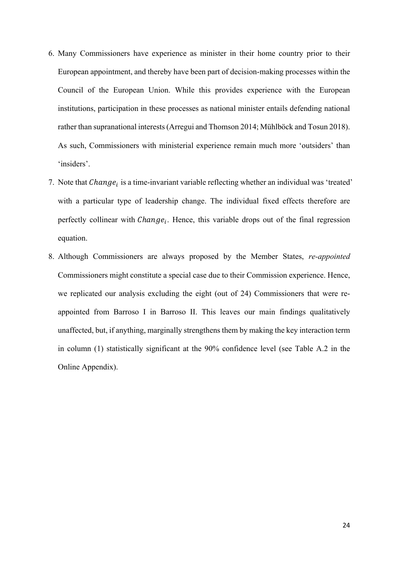- 6. Many Commissioners have experience as minister in their home country prior to their European appointment, and thereby have been part of decision-making processes within the Council of the European Union. While this provides experience with the European institutions, participation in these processes as national minister entails defending national rather than supranational interests (Arregui and Thomson 2014; Mühlböck and Tosun 2018). As such, Commissioners with ministerial experience remain much more 'outsiders' than 'insiders'.
- 7. Note that Change; is a time-invariant variable reflecting whether an individual was 'treated' with a particular type of leadership change. The individual fixed effects therefore are perfectly collinear with  $Change_i$ . Hence, this variable drops out of the final regression equation.
- 8. Although Commissioners are always proposed by the Member States, *re-appointed* Commissioners might constitute a special case due to their Commission experience. Hence, we replicated our analysis excluding the eight (out of 24) Commissioners that were reappointed from Barroso I in Barroso II. This leaves our main findings qualitatively unaffected, but, if anything, marginally strengthens them by making the key interaction term in column (1) statistically significant at the 90% confidence level (see Table A.2 in the Online Appendix).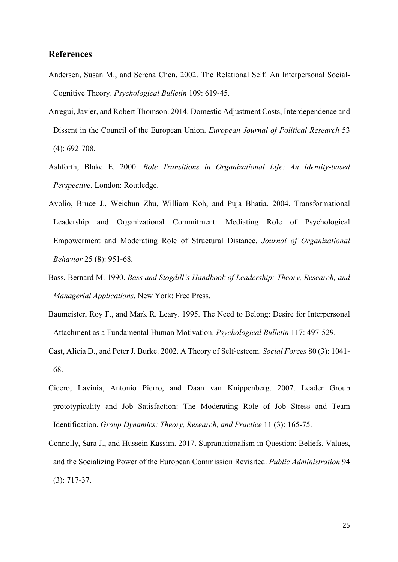# **References**

- Andersen, Susan M., and Serena Chen. 2002. The Relational Self: An Interpersonal Social-Cognitive Theory. *Psychological Bulletin* 109: 619-45.
- Arregui, Javier, and Robert Thomson. 2014. Domestic Adjustment Costs, Interdependence and Dissent in the Council of the European Union. *European Journal of Political Research* 53 (4): 692-708.
- Ashforth, Blake E. 2000. *Role Transitions in Organizational Life: An Identity-based Perspective*. London: Routledge.
- Avolio, Bruce J., Weichun Zhu, William Koh, and Puja Bhatia. 2004. Transformational Leadership and Organizational Commitment: Mediating Role of Psychological Empowerment and Moderating Role of Structural Distance. *Journal of Organizational Behavior* 25 (8): 951-68.
- Bass, Bernard M. 1990. *Bass and Stogdill's Handbook of Leadership: Theory, Research, and Managerial Applications*. New York: Free Press.
- Baumeister, Roy F., and Mark R. Leary. 1995. The Need to Belong: Desire for Interpersonal Attachment as a Fundamental Human Motivation. *Psychological Bulletin* 117: 497-529.
- Cast, Alicia D., and Peter J. Burke. 2002. A Theory of Self-esteem. *Social Forces* 80 (3): 1041- 68.
- Cicero, Lavinia, Antonio Pierro, and Daan van Knippenberg. 2007. Leader Group prototypicality and Job Satisfaction: The Moderating Role of Job Stress and Team Identification. *Group Dynamics: Theory, Research, and Practice* 11 (3): 165-75.
- Connolly, Sara J., and Hussein Kassim. 2017. Supranationalism in Question: Beliefs, Values, and the Socializing Power of the European Commission Revisited. *Public Administration* 94 (3): 717-37.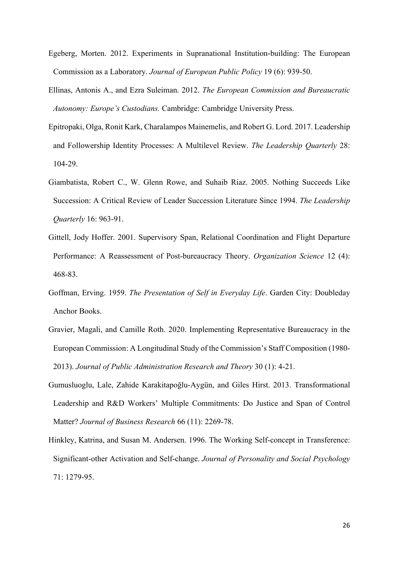- Egeberg, Morten. 2012. Experiments in Supranational Institution-building: The European Commission as a Laboratory. *Journal of European Public Policy* 19 (6): 939-50.
- Ellinas, Antonis A., and Ezra Suleiman. 2012. *The European Commission and Bureaucratic Autonomy: Europe's Custodians.* Cambridge: Cambridge University Press.
- Epitropaki, Olga, Ronit Kark, Charalampos Mainemelis, and Robert G. Lord. 2017. Leadership and Followership Identity Processes: A Multilevel Review. *The Leadership Quarterly* 28: 104-29.
- Giambatista, Robert C., W. Glenn Rowe, and Suhaib Riaz. 2005. Nothing Succeeds Like Succession: A Critical Review of Leader Succession Literature Since 1994. *The Leadership Quarterly* 16: 963-91.
- Gittell, Jody Hoffer. 2001. Supervisory Span, Relational Coordination and Flight Departure Performance: A Reassessment of Post-bureaucracy Theory. *Organization Science* 12 (4): 468-83.
- Goffman, Erving. 1959. *The Presentation of Self in Everyday Life*. Garden City: Doubleday Anchor Books.
- Gravier, Magali, and Camille Roth. 2020. Implementing Representative Bureaucracy in the European Commission: A Longitudinal Study of the Commission's Staff Composition (1980- 2013). *Journal of Public Administration Research and Theory* 30 (1): 4-21.
- Gumusluoglu, Lale, Zahide Karakitapoğlu-Aygün, and Giles Hirst. 2013. Transformational Leadership and R&D Workers' Multiple Commitments: Do Justice and Span of Control Matter? *Journal of Business Research* 66 (11): 2269-78.
- Hinkley, Katrina, and Susan M. Andersen. 1996. The Working Self-concept in Transference: Significant-other Activation and Self-change. *Journal of Personality and Social Psychology* 71: 1279-95.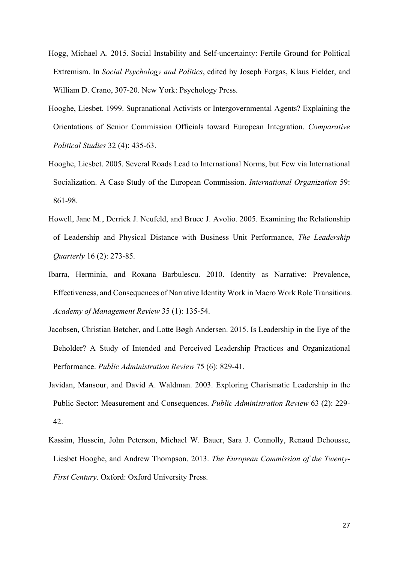- Hogg, Michael A. 2015. Social Instability and Self-uncertainty: Fertile Ground for Political Extremism. In *Social Psychology and Politics*, edited by Joseph Forgas, Klaus Fielder, and William D. Crano, 307-20. New York: Psychology Press.
- Hooghe, Liesbet. 1999. Supranational Activists or Intergovernmental Agents? Explaining the Orientations of Senior Commission Officials toward European Integration. *Comparative Political Studies* 32 (4): 435-63.
- Hooghe, Liesbet. 2005. Several Roads Lead to International Norms, but Few via International Socialization. A Case Study of the European Commission. *International Organization* 59: 861-98.
- Howell, Jane M., Derrick J. Neufeld, and Bruce J. Avolio. 2005. Examining the Relationship of Leadership and Physical Distance with Business Unit Performance, *The Leadership Quarterly* 16 (2): 273-85.
- Ibarra, Herminia, and Roxana Barbulescu. 2010. Identity as Narrative: Prevalence, Effectiveness, and Consequences of Narrative Identity Work in Macro Work Role Transitions. *Academy of Management Review* 35 (1): 135-54.
- Jacobsen, Christian Bøtcher, and Lotte Bøgh Andersen. 2015. Is Leadership in the Eye of the Beholder? A Study of Intended and Perceived Leadership Practices and Organizational Performance. *Public Administration Review* 75 (6): 829-41.
- Javidan, Mansour, and David A. Waldman. 2003. Exploring Charismatic Leadership in the Public Sector: Measurement and Consequences. *Public Administration Review* 63 (2): 229- 42.
- Kassim, Hussein, John Peterson, Michael W. Bauer, Sara J. Connolly, Renaud Dehousse, Liesbet Hooghe, and Andrew Thompson. 2013. *The European Commission of the Twenty-First Century*. Oxford: Oxford University Press.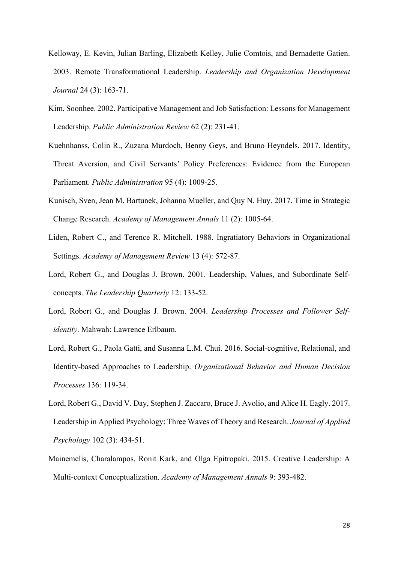- Kelloway, E. Kevin, Julian Barling, Elizabeth Kelley, Julie Comtois, and Bernadette Gatien. 2003. Remote Transformational Leadership. *Leadership and Organization Development Journal* 24 (3): 163-71.
- Kim, Soonhee. 2002. Participative Management and Job Satisfaction: Lessons for Management Leadership. *Public Administration Review* 62 (2): 231-41.
- Kuehnhanss, Colin R., Zuzana Murdoch, Benny Geys, and Bruno Heyndels. 2017. Identity, Threat Aversion, and Civil Servants' Policy Preferences: Evidence from the European Parliament. *Public Administration* 95 (4): 1009-25.
- Kunisch, Sven, Jean M. Bartunek, Johanna Mueller, and Quy N. Huy. 2017. Time in Strategic Change Research. *Academy of Management Annals* 11 (2): 1005-64.
- Liden, Robert C., and Terence R. Mitchell. 1988. Ingratiatory Behaviors in Organizational Settings. *Academy of Management Review* 13 (4): 572-87.
- Lord, Robert G., and Douglas J. Brown. 2001. Leadership, Values, and Subordinate Selfconcepts. *The Leadership Quarterly* 12: 133-52.
- Lord, Robert G., and Douglas J. Brown. 2004. *Leadership Processes and Follower Selfidentity*. Mahwah: Lawrence Erlbaum.
- Lord, Robert G., Paola Gatti, and Susanna L.M. Chui. 2016. Social-cognitive, Relational, and Identity-based Approaches to Leadership. *Organizational Behavior and Human Decision Processes* 136: 119-34.
- Lord, Robert G., David V. Day, Stephen J. Zaccaro, Bruce J. Avolio, and Alice H. Eagly. 2017. Leadership in Applied Psychology: Three Waves of Theory and Research. *Journal of Applied Psychology* 102 (3): 434-51.
- Mainemelis, Charalampos, Ronit Kark, and Olga Epitropaki. 2015. Creative Leadership: A Multi-context Conceptualization. *Academy of Management Annals* 9: 393-482.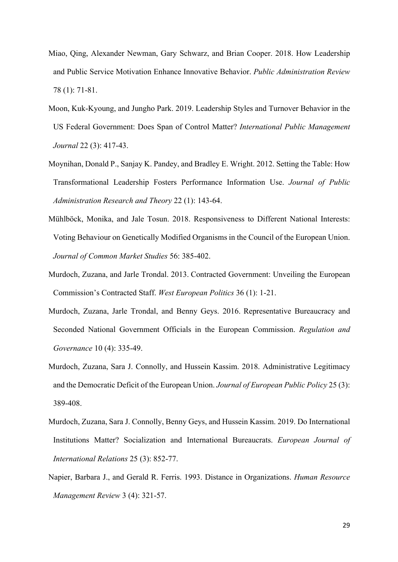- Miao, Qing, Alexander Newman, Gary Schwarz, and Brian Cooper. 2018. How Leadership and Public Service Motivation Enhance Innovative Behavior. *Public Administration Review* 78 (1): 71-81.
- Moon, Kuk-Kyoung, and Jungho Park. 2019. Leadership Styles and Turnover Behavior in the US Federal Government: Does Span of Control Matter? *International Public Management Journal* 22 (3): 417-43.
- Moynihan, Donald P., Sanjay K. Pandey, and Bradley E. Wright. 2012. Setting the Table: How Transformational Leadership Fosters Performance Information Use. *Journal of Public Administration Research and Theory* 22 (1): 143-64.
- Mühlböck, Monika, and Jale Tosun. 2018. Responsiveness to Different National Interests: Voting Behaviour on Genetically Modified Organisms in the Council of the European Union. *Journal of Common Market Studies* 56: 385-402.
- Murdoch, Zuzana, and Jarle Trondal. 2013. Contracted Government: Unveiling the European Commission's Contracted Staff. *West European Politics* 36 (1): 1-21.
- Murdoch, Zuzana, Jarle Trondal, and Benny Geys. 2016. Representative Bureaucracy and Seconded National Government Officials in the European Commission. *Regulation and Governance* 10 (4): 335-49.
- Murdoch, Zuzana, Sara J. Connolly, and Hussein Kassim. 2018. Administrative Legitimacy and the Democratic Deficit of the European Union. *Journal of European Public Policy* 25 (3): 389-408.
- Murdoch, Zuzana, Sara J. Connolly, Benny Geys, and Hussein Kassim. 2019. Do International Institutions Matter? Socialization and International Bureaucrats. *European Journal of International Relations* 25 (3): 852-77.
- Napier, Barbara J., and Gerald R. Ferris. 1993. Distance in Organizations. *Human Resource Management Review* 3 (4): 321-57.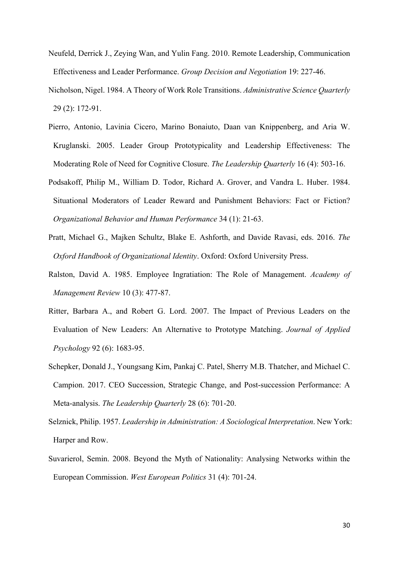- Neufeld, Derrick J., Zeying Wan, and Yulin Fang. 2010. Remote Leadership, Communication Effectiveness and Leader Performance. *Group Decision and Negotiation* 19: 227-46.
- Nicholson, Nigel. 1984. A Theory of Work Role Transitions. *Administrative Science Quarterly* 29 (2): 172-91.
- Pierro, Antonio, Lavinia Cicero, Marino Bonaiuto, Daan van Knippenberg, and Aria W. Kruglanski. 2005. Leader Group Prototypicality and Leadership Effectiveness: The Moderating Role of Need for Cognitive Closure. *The Leadership Quarterly* 16 (4): 503-16.
- Podsakoff, Philip M., William D. Todor, Richard A. Grover, and Vandra L. Huber. 1984. Situational Moderators of Leader Reward and Punishment Behaviors: Fact or Fiction? *Organizational Behavior and Human Performance* 34 (1): 21-63.
- Pratt, Michael G., Majken Schultz, Blake E. Ashforth, and Davide Ravasi, eds. 2016. *The Oxford Handbook of Organizational Identity*. Oxford: Oxford University Press.
- Ralston, David A. 1985. Employee Ingratiation: The Role of Management. *Academy of Management Review* 10 (3): 477-87.
- Ritter, Barbara A., and Robert G. Lord. 2007. The Impact of Previous Leaders on the Evaluation of New Leaders: An Alternative to Prototype Matching. *Journal of Applied Psychology* 92 (6): 1683-95.
- Schepker, Donald J., Youngsang Kim, Pankaj C. Patel, Sherry M.B. Thatcher, and Michael C. Campion. 2017. CEO Succession, Strategic Change, and Post-succession Performance: A Meta-analysis. *The Leadership Quarterly* 28 (6): 701-20.
- Selznick, Philip. 1957. *Leadership in Administration: A Sociological Interpretation*. New York: Harper and Row.
- Suvarierol, Semin. 2008. Beyond the Myth of Nationality: Analysing Networks within the European Commission. *West European Politics* 31 (4): 701-24.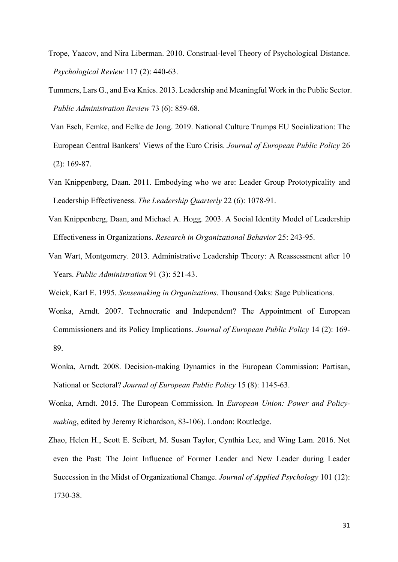- Trope, Yaacov, and Nira Liberman. 2010. Construal-level Theory of Psychological Distance. *Psychological Review* 117 (2): 440-63.
- Tummers, Lars G., and Eva Knies. 2013. Leadership and Meaningful Work in the Public Sector. *Public Administration Review* 73 (6): 859-68.
- Van Esch, Femke, and Eelke de Jong. 2019. National Culture Trumps EU Socialization: The European Central Bankers' Views of the Euro Crisis. *Journal of European Public Policy* 26 (2): 169-87.
- Van Knippenberg, Daan. 2011. Embodying who we are: Leader Group Prototypicality and Leadership Effectiveness. *The Leadership Quarterly* 22 (6): 1078-91.
- Van Knippenberg, Daan, and Michael A. Hogg. 2003. A Social Identity Model of Leadership Effectiveness in Organizations. *Research in Organizational Behavior* 25: 243-95.
- Van Wart, Montgomery. 2013. Administrative Leadership Theory: A Reassessment after 10 Years. *Public Administration* 91 (3): 521-43.
- Weick, Karl E. 1995. *Sensemaking in Organizations*. Thousand Oaks: Sage Publications.
- Wonka, Arndt. 2007. Technocratic and Independent? The Appointment of European Commissioners and its Policy Implications. *Journal of European Public Policy* 14 (2): 169- 89.
- Wonka, Arndt. 2008. Decision-making Dynamics in the European Commission: Partisan, National or Sectoral? *Journal of European Public Policy* 15 (8): 1145-63.
- Wonka, Arndt. 2015. The European Commission. In *European Union: Power and Policymaking*, edited by Jeremy Richardson, 83-106). London: Routledge.
- Zhao, Helen H., Scott E. Seibert, M. Susan Taylor, Cynthia Lee, and Wing Lam. 2016. Not even the Past: The Joint Influence of Former Leader and New Leader during Leader Succession in the Midst of Organizational Change. *Journal of Applied Psychology* 101 (12): 1730-38.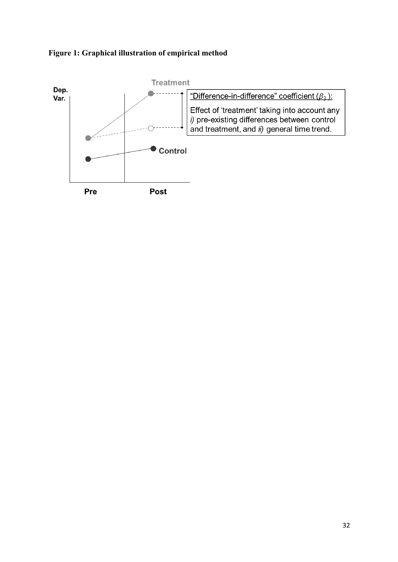